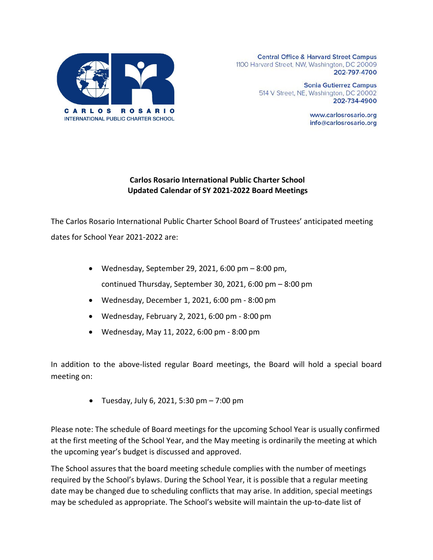

**Central Office & Harvard Street Campus** 1100 Harvard Street, NW, Washington, DC 20009 202-797-4700

> **Sonia Gutierrez Campus** 514 V Street, NE, Washington, DC 20002 202-734-4900

> > www.carlosrosario.org info@carlosrosario.org

## **Carlos Rosario International Public Charter School Updated Calendar of SY 2021-2022 Board Meetings**

The Carlos Rosario International Public Charter School Board of Trustees' anticipated meeting dates for School Year 2021-2022 are:

- Wednesday, September 29, 2021, 6:00 pm  $-8:00$  pm, continued Thursday, September 30, 2021, 6:00 pm – 8:00 pm
- Wednesday, December 1, 2021, 6:00 pm 8:00 pm
- Wednesday, February 2, 2021, 6:00 pm 8:00 pm
- Wednesday, May 11, 2022, 6:00 pm 8:00 pm

In addition to the above-listed regular Board meetings, the Board will hold a special board meeting on:

• Tuesday, July 6, 2021, 5:30 pm  $-7:00$  pm

Please note: The schedule of Board meetings for the upcoming School Year is usually confirmed at the first meeting of the School Year, and the May meeting is ordinarily the meeting at which the upcoming year's budget is discussed and approved.

The School assures that the board meeting schedule complies with the number of meetings required by the School's bylaws. During the School Year, it is possible that a regular meeting date may be changed due to scheduling conflicts that may arise. In addition, special meetings may be scheduled as appropriate. The School's website will maintain the up-to-date list of